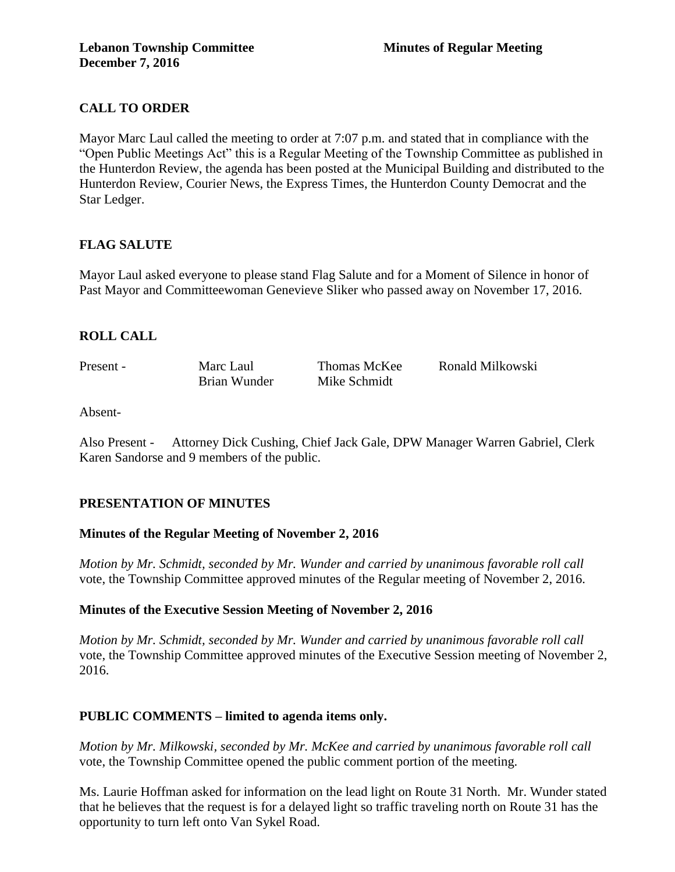# **CALL TO ORDER**

Mayor Marc Laul called the meeting to order at 7:07 p.m. and stated that in compliance with the "Open Public Meetings Act" this is a Regular Meeting of the Township Committee as published in the Hunterdon Review, the agenda has been posted at the Municipal Building and distributed to the Hunterdon Review, Courier News, the Express Times, the Hunterdon County Democrat and the Star Ledger.

# **FLAG SALUTE**

Mayor Laul asked everyone to please stand Flag Salute and for a Moment of Silence in honor of Past Mayor and Committeewoman Genevieve Sliker who passed away on November 17, 2016.

# **ROLL CALL**

| Present - | Marc Laul    | Thomas McKee | Ronald Milkowski |
|-----------|--------------|--------------|------------------|
|           | Brian Wunder | Mike Schmidt |                  |

Absent-

Also Present - Attorney Dick Cushing, Chief Jack Gale, DPW Manager Warren Gabriel, Clerk Karen Sandorse and 9 members of the public.

# **PRESENTATION OF MINUTES**

# **Minutes of the Regular Meeting of November 2, 2016**

*Motion by Mr. Schmidt, seconded by Mr. Wunder and carried by unanimous favorable roll call*  vote, the Township Committee approved minutes of the Regular meeting of November 2, 2016.

# **Minutes of the Executive Session Meeting of November 2, 2016**

*Motion by Mr. Schmidt, seconded by Mr. Wunder and carried by unanimous favorable roll call*  vote, the Township Committee approved minutes of the Executive Session meeting of November 2, 2016.

# **PUBLIC COMMENTS – limited to agenda items only.**

*Motion by Mr. Milkowski, seconded by Mr. McKee and carried by unanimous favorable roll call*  vote, the Township Committee opened the public comment portion of the meeting.

Ms. Laurie Hoffman asked for information on the lead light on Route 31 North. Mr. Wunder stated that he believes that the request is for a delayed light so traffic traveling north on Route 31 has the opportunity to turn left onto Van Sykel Road.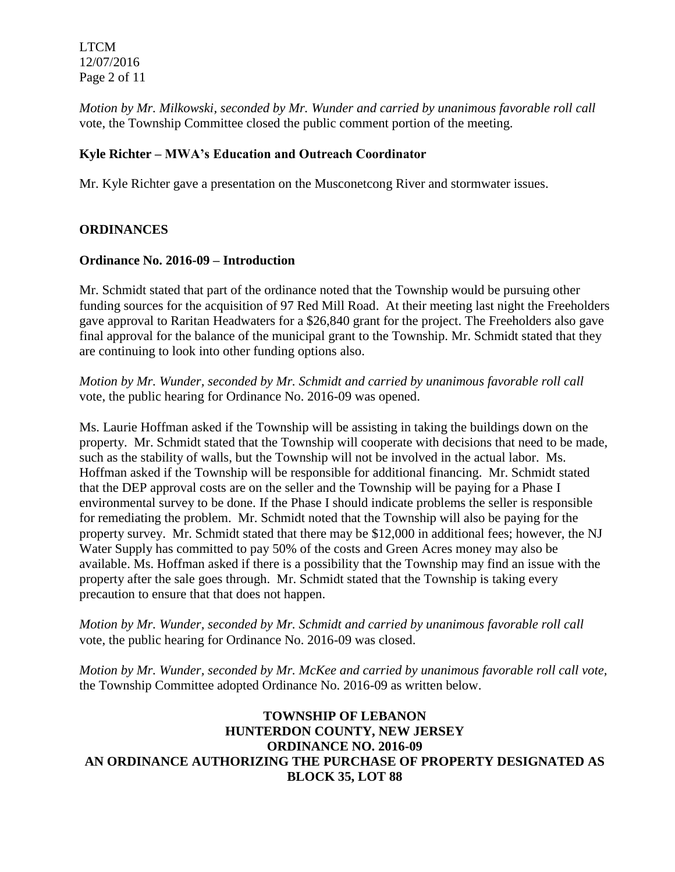LTCM 12/07/2016 Page 2 of 11

*Motion by Mr. Milkowski, seconded by Mr. Wunder and carried by unanimous favorable roll call*  vote, the Township Committee closed the public comment portion of the meeting.

## **Kyle Richter – MWA's Education and Outreach Coordinator**

Mr. Kyle Richter gave a presentation on the Musconetcong River and stormwater issues.

#### **ORDINANCES**

#### **Ordinance No. 2016-09 – Introduction**

Mr. Schmidt stated that part of the ordinance noted that the Township would be pursuing other funding sources for the acquisition of 97 Red Mill Road. At their meeting last night the Freeholders gave approval to Raritan Headwaters for a \$26,840 grant for the project. The Freeholders also gave final approval for the balance of the municipal grant to the Township. Mr. Schmidt stated that they are continuing to look into other funding options also.

*Motion by Mr. Wunder, seconded by Mr. Schmidt and carried by unanimous favorable roll call*  vote, the public hearing for Ordinance No. 2016-09 was opened.

Ms. Laurie Hoffman asked if the Township will be assisting in taking the buildings down on the property. Mr. Schmidt stated that the Township will cooperate with decisions that need to be made, such as the stability of walls, but the Township will not be involved in the actual labor. Ms. Hoffman asked if the Township will be responsible for additional financing. Mr. Schmidt stated that the DEP approval costs are on the seller and the Township will be paying for a Phase I environmental survey to be done. If the Phase I should indicate problems the seller is responsible for remediating the problem. Mr. Schmidt noted that the Township will also be paying for the property survey. Mr. Schmidt stated that there may be \$12,000 in additional fees; however, the NJ Water Supply has committed to pay 50% of the costs and Green Acres money may also be available. Ms. Hoffman asked if there is a possibility that the Township may find an issue with the property after the sale goes through. Mr. Schmidt stated that the Township is taking every precaution to ensure that that does not happen.

*Motion by Mr. Wunder, seconded by Mr. Schmidt and carried by unanimous favorable roll call*  vote, the public hearing for Ordinance No. 2016-09 was closed.

*Motion by Mr. Wunder, seconded by Mr. McKee and carried by unanimous favorable roll call vote,* the Township Committee adopted Ordinance No. 2016-09 as written below.

# **TOWNSHIP OF LEBANON HUNTERDON COUNTY, NEW JERSEY ORDINANCE NO. 2016-09 AN ORDINANCE AUTHORIZING THE PURCHASE OF PROPERTY DESIGNATED AS BLOCK 35, LOT 88**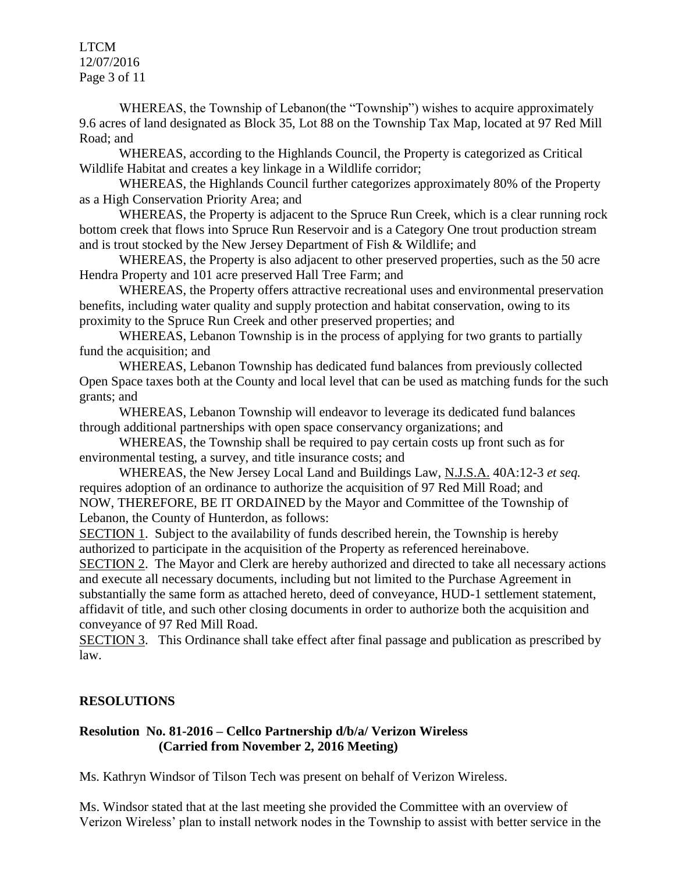LTCM 12/07/2016 Page 3 of 11

WHEREAS, the Township of Lebanon(the "Township") wishes to acquire approximately 9.6 acres of land designated as Block 35, Lot 88 on the Township Tax Map, located at 97 Red Mill Road; and

WHEREAS, according to the Highlands Council, the Property is categorized as Critical Wildlife Habitat and creates a key linkage in a Wildlife corridor;

WHEREAS, the Highlands Council further categorizes approximately 80% of the Property as a High Conservation Priority Area; and

WHEREAS, the Property is adjacent to the Spruce Run Creek, which is a clear running rock bottom creek that flows into Spruce Run Reservoir and is a Category One trout production stream and is trout stocked by the New Jersey Department of Fish & Wildlife; and

WHEREAS, the Property is also adjacent to other preserved properties, such as the 50 acre Hendra Property and 101 acre preserved Hall Tree Farm; and

WHEREAS, the Property offers attractive recreational uses and environmental preservation benefits, including water quality and supply protection and habitat conservation, owing to its proximity to the Spruce Run Creek and other preserved properties; and

WHEREAS, Lebanon Township is in the process of applying for two grants to partially fund the acquisition; and

 WHEREAS, Lebanon Township has dedicated fund balances from previously collected Open Space taxes both at the County and local level that can be used as matching funds for the such grants; and

WHEREAS, Lebanon Township will endeavor to leverage its dedicated fund balances through additional partnerships with open space conservancy organizations; and

WHEREAS, the Township shall be required to pay certain costs up front such as for environmental testing, a survey, and title insurance costs; and

WHEREAS, the New Jersey Local Land and Buildings Law, N.J.S.A. 40A:12-3 *et seq.* requires adoption of an ordinance to authorize the acquisition of 97 Red Mill Road; and NOW, THEREFORE, BE IT ORDAINED by the Mayor and Committee of the Township of Lebanon, the County of Hunterdon, as follows:

SECTION 1. Subject to the availability of funds described herein, the Township is hereby authorized to participate in the acquisition of the Property as referenced hereinabove.

SECTION 2. The Mayor and Clerk are hereby authorized and directed to take all necessary actions and execute all necessary documents, including but not limited to the Purchase Agreement in substantially the same form as attached hereto, deed of conveyance, HUD-1 settlement statement, affidavit of title, and such other closing documents in order to authorize both the acquisition and conveyance of 97 Red Mill Road.

SECTION 3. This Ordinance shall take effect after final passage and publication as prescribed by law.

# **RESOLUTIONS**

## **Resolution No. 81-2016 – Cellco Partnership d/b/a/ Verizon Wireless (Carried from November 2, 2016 Meeting)**

Ms. Kathryn Windsor of Tilson Tech was present on behalf of Verizon Wireless.

Ms. Windsor stated that at the last meeting she provided the Committee with an overview of Verizon Wireless' plan to install network nodes in the Township to assist with better service in the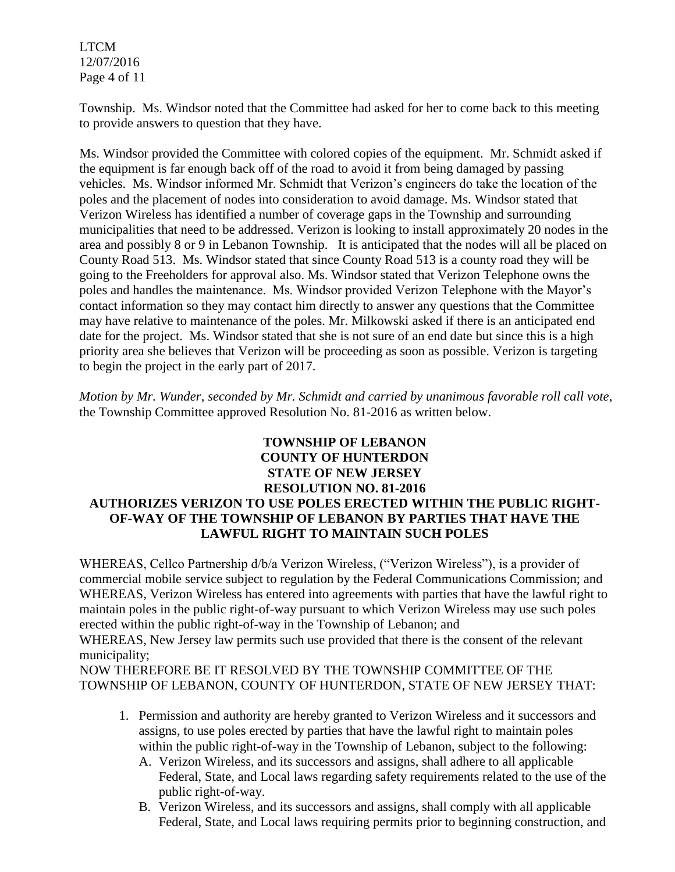LTCM 12/07/2016 Page 4 of 11

Township. Ms. Windsor noted that the Committee had asked for her to come back to this meeting to provide answers to question that they have.

Ms. Windsor provided the Committee with colored copies of the equipment. Mr. Schmidt asked if the equipment is far enough back off of the road to avoid it from being damaged by passing vehicles. Ms. Windsor informed Mr. Schmidt that Verizon's engineers do take the location of the poles and the placement of nodes into consideration to avoid damage. Ms. Windsor stated that Verizon Wireless has identified a number of coverage gaps in the Township and surrounding municipalities that need to be addressed. Verizon is looking to install approximately 20 nodes in the area and possibly 8 or 9 in Lebanon Township. It is anticipated that the nodes will all be placed on County Road 513. Ms. Windsor stated that since County Road 513 is a county road they will be going to the Freeholders for approval also. Ms. Windsor stated that Verizon Telephone owns the poles and handles the maintenance. Ms. Windsor provided Verizon Telephone with the Mayor's contact information so they may contact him directly to answer any questions that the Committee may have relative to maintenance of the poles. Mr. Milkowski asked if there is an anticipated end date for the project. Ms. Windsor stated that she is not sure of an end date but since this is a high priority area she believes that Verizon will be proceeding as soon as possible. Verizon is targeting to begin the project in the early part of 2017.

*Motion by Mr. Wunder, seconded by Mr. Schmidt and carried by unanimous favorable roll call vote*, the Township Committee approved Resolution No. 81-2016 as written below.

## **TOWNSHIP OF LEBANON COUNTY OF HUNTERDON STATE OF NEW JERSEY RESOLUTION NO. 81-2016 AUTHORIZES VERIZON TO USE POLES ERECTED WITHIN THE PUBLIC RIGHT-OF-WAY OF THE TOWNSHIP OF LEBANON BY PARTIES THAT HAVE THE LAWFUL RIGHT TO MAINTAIN SUCH POLES**

WHEREAS, Cellco Partnership d/b/a Verizon Wireless, ("Verizon Wireless"), is a provider of commercial mobile service subject to regulation by the Federal Communications Commission; and WHEREAS, Verizon Wireless has entered into agreements with parties that have the lawful right to maintain poles in the public right-of-way pursuant to which Verizon Wireless may use such poles erected within the public right-of-way in the Township of Lebanon; and WHEREAS, New Jersey law permits such use provided that there is the consent of the relevant

municipality;

NOW THEREFORE BE IT RESOLVED BY THE TOWNSHIP COMMITTEE OF THE TOWNSHIP OF LEBANON, COUNTY OF HUNTERDON, STATE OF NEW JERSEY THAT:

- 1. Permission and authority are hereby granted to Verizon Wireless and it successors and assigns, to use poles erected by parties that have the lawful right to maintain poles within the public right-of-way in the Township of Lebanon, subject to the following:
	- A. Verizon Wireless, and its successors and assigns, shall adhere to all applicable Federal, State, and Local laws regarding safety requirements related to the use of the public right-of-way.
	- B. Verizon Wireless, and its successors and assigns, shall comply with all applicable Federal, State, and Local laws requiring permits prior to beginning construction, and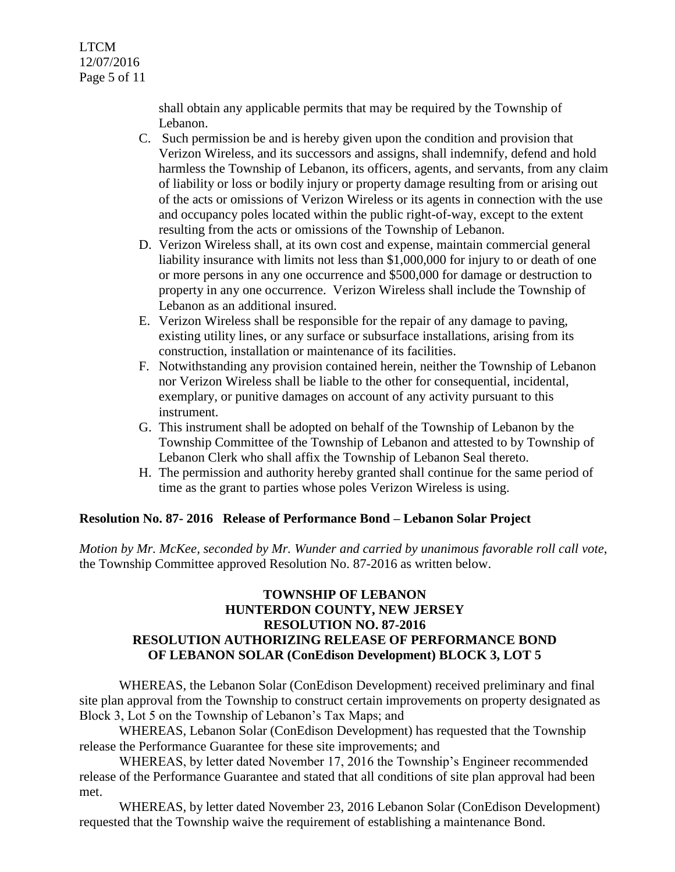shall obtain any applicable permits that may be required by the Township of Lebanon.

- C. Such permission be and is hereby given upon the condition and provision that Verizon Wireless, and its successors and assigns, shall indemnify, defend and hold harmless the Township of Lebanon, its officers, agents, and servants, from any claim of liability or loss or bodily injury or property damage resulting from or arising out of the acts or omissions of Verizon Wireless or its agents in connection with the use and occupancy poles located within the public right-of-way, except to the extent resulting from the acts or omissions of the Township of Lebanon.
- D. Verizon Wireless shall, at its own cost and expense, maintain commercial general liability insurance with limits not less than \$1,000,000 for injury to or death of one or more persons in any one occurrence and \$500,000 for damage or destruction to property in any one occurrence. Verizon Wireless shall include the Township of Lebanon as an additional insured.
- E. Verizon Wireless shall be responsible for the repair of any damage to paving, existing utility lines, or any surface or subsurface installations, arising from its construction, installation or maintenance of its facilities.
- F. Notwithstanding any provision contained herein, neither the Township of Lebanon nor Verizon Wireless shall be liable to the other for consequential, incidental, exemplary, or punitive damages on account of any activity pursuant to this instrument.
- G. This instrument shall be adopted on behalf of the Township of Lebanon by the Township Committee of the Township of Lebanon and attested to by Township of Lebanon Clerk who shall affix the Township of Lebanon Seal thereto.
- H. The permission and authority hereby granted shall continue for the same period of time as the grant to parties whose poles Verizon Wireless is using.

# **Resolution No. 87- 2016 Release of Performance Bond – Lebanon Solar Project**

*Motion by Mr. McKee, seconded by Mr. Wunder and carried by unanimous favorable roll call vote*, the Township Committee approved Resolution No. 87-2016 as written below.

# **TOWNSHIP OF LEBANON HUNTERDON COUNTY, NEW JERSEY RESOLUTION NO. 87-2016 RESOLUTION AUTHORIZING RELEASE OF PERFORMANCE BOND OF LEBANON SOLAR (ConEdison Development) BLOCK 3, LOT 5**

WHEREAS, the Lebanon Solar (ConEdison Development) received preliminary and final site plan approval from the Township to construct certain improvements on property designated as Block 3, Lot 5 on the Township of Lebanon's Tax Maps; and

WHEREAS, Lebanon Solar (ConEdison Development) has requested that the Township release the Performance Guarantee for these site improvements; and

WHEREAS, by letter dated November 17, 2016 the Township's Engineer recommended release of the Performance Guarantee and stated that all conditions of site plan approval had been met.

WHEREAS, by letter dated November 23, 2016 Lebanon Solar (ConEdison Development) requested that the Township waive the requirement of establishing a maintenance Bond.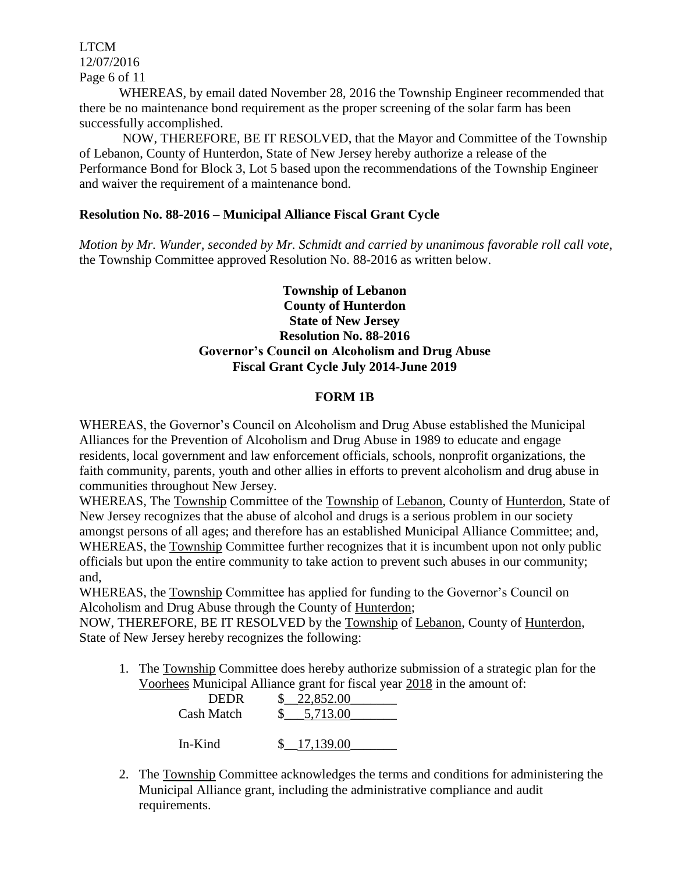LTCM 12/07/2016 Page 6 of 11

WHEREAS, by email dated November 28, 2016 the Township Engineer recommended that there be no maintenance bond requirement as the proper screening of the solar farm has been successfully accomplished.

NOW, THEREFORE, BE IT RESOLVED, that the Mayor and Committee of the Township of Lebanon, County of Hunterdon, State of New Jersey hereby authorize a release of the Performance Bond for Block 3, Lot 5 based upon the recommendations of the Township Engineer and waiver the requirement of a maintenance bond.

## **Resolution No. 88-2016 – Municipal Alliance Fiscal Grant Cycle**

*Motion by Mr. Wunder, seconded by Mr. Schmidt and carried by unanimous favorable roll call vote*, the Township Committee approved Resolution No. 88-2016 as written below.

## **Township of Lebanon County of Hunterdon State of New Jersey Resolution No. 88-2016 Governor's Council on Alcoholism and Drug Abuse Fiscal Grant Cycle July 2014-June 2019**

## **FORM 1B**

WHEREAS, the Governor's Council on Alcoholism and Drug Abuse established the Municipal Alliances for the Prevention of Alcoholism and Drug Abuse in 1989 to educate and engage residents, local government and law enforcement officials, schools, nonprofit organizations, the faith community, parents, youth and other allies in efforts to prevent alcoholism and drug abuse in communities throughout New Jersey.

WHEREAS, The Township Committee of the Township of Lebanon, County of Hunterdon, State of New Jersey recognizes that the abuse of alcohol and drugs is a serious problem in our society amongst persons of all ages; and therefore has an established Municipal Alliance Committee; and, WHEREAS, the Township Committee further recognizes that it is incumbent upon not only public officials but upon the entire community to take action to prevent such abuses in our community; and,

WHEREAS, the Township Committee has applied for funding to the Governor's Council on Alcoholism and Drug Abuse through the County of Hunterdon;

NOW, THEREFORE, BE IT RESOLVED by the Township of Lebanon, County of Hunterdon, State of New Jersey hereby recognizes the following:

1. The Township Committee does hereby authorize submission of a strategic plan for the Voorhees Municipal Alliance grant for fiscal year 2018 in the amount of:

| <b>DEDR</b> | 22,852.00 |
|-------------|-----------|
| Cash Match  | 5,713.00  |
| In-Kind     | 17,139.00 |

2. The Township Committee acknowledges the terms and conditions for administering the Municipal Alliance grant, including the administrative compliance and audit requirements.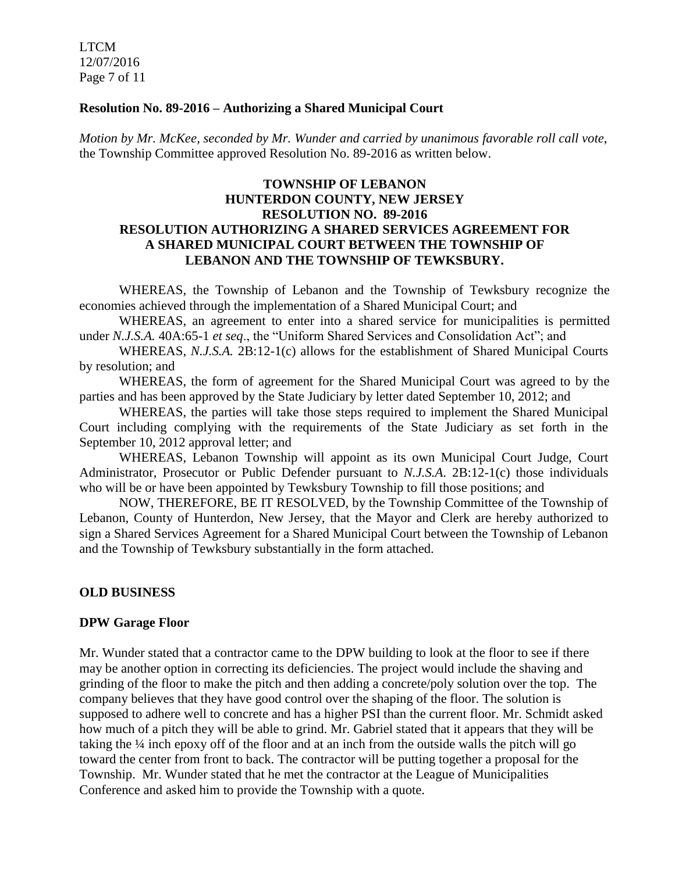LTCM 12/07/2016 Page 7 of 11

#### **Resolution No. 89-2016 – Authorizing a Shared Municipal Court**

*Motion by Mr. McKee, seconded by Mr. Wunder and carried by unanimous favorable roll call vote*, the Township Committee approved Resolution No. 89-2016 as written below.

## **TOWNSHIP OF LEBANON HUNTERDON COUNTY, NEW JERSEY RESOLUTION NO. 89-2016 RESOLUTION AUTHORIZING A SHARED SERVICES AGREEMENT FOR A SHARED MUNICIPAL COURT BETWEEN THE TOWNSHIP OF LEBANON AND THE TOWNSHIP OF TEWKSBURY.**

WHEREAS, the Township of Lebanon and the Township of Tewksbury recognize the economies achieved through the implementation of a Shared Municipal Court; and

WHEREAS, an agreement to enter into a shared service for municipalities is permitted under *N.J.S.A.* 40A:65-1 *et seq*., the "Uniform Shared Services and Consolidation Act"; and

WHEREAS, *N.J.S.A.* 2B:12-1(c) allows for the establishment of Shared Municipal Courts by resolution; and

WHEREAS, the form of agreement for the Shared Municipal Court was agreed to by the parties and has been approved by the State Judiciary by letter dated September 10, 2012; and

WHEREAS, the parties will take those steps required to implement the Shared Municipal Court including complying with the requirements of the State Judiciary as set forth in the September 10, 2012 approval letter; and

WHEREAS, Lebanon Township will appoint as its own Municipal Court Judge, Court Administrator, Prosecutor or Public Defender pursuant to *N.J.S.A*. 2B:12-1(c) those individuals who will be or have been appointed by Tewksbury Township to fill those positions; and

NOW, THEREFORE, BE IT RESOLVED, by the Township Committee of the Township of Lebanon, County of Hunterdon, New Jersey, that the Mayor and Clerk are hereby authorized to sign a Shared Services Agreement for a Shared Municipal Court between the Township of Lebanon and the Township of Tewksbury substantially in the form attached.

#### **OLD BUSINESS**

#### **DPW Garage Floor**

Mr. Wunder stated that a contractor came to the DPW building to look at the floor to see if there may be another option in correcting its deficiencies. The project would include the shaving and grinding of the floor to make the pitch and then adding a concrete/poly solution over the top. The company believes that they have good control over the shaping of the floor. The solution is supposed to adhere well to concrete and has a higher PSI than the current floor. Mr. Schmidt asked how much of a pitch they will be able to grind. Mr. Gabriel stated that it appears that they will be taking the ¼ inch epoxy off of the floor and at an inch from the outside walls the pitch will go toward the center from front to back. The contractor will be putting together a proposal for the Township. Mr. Wunder stated that he met the contractor at the League of Municipalities Conference and asked him to provide the Township with a quote.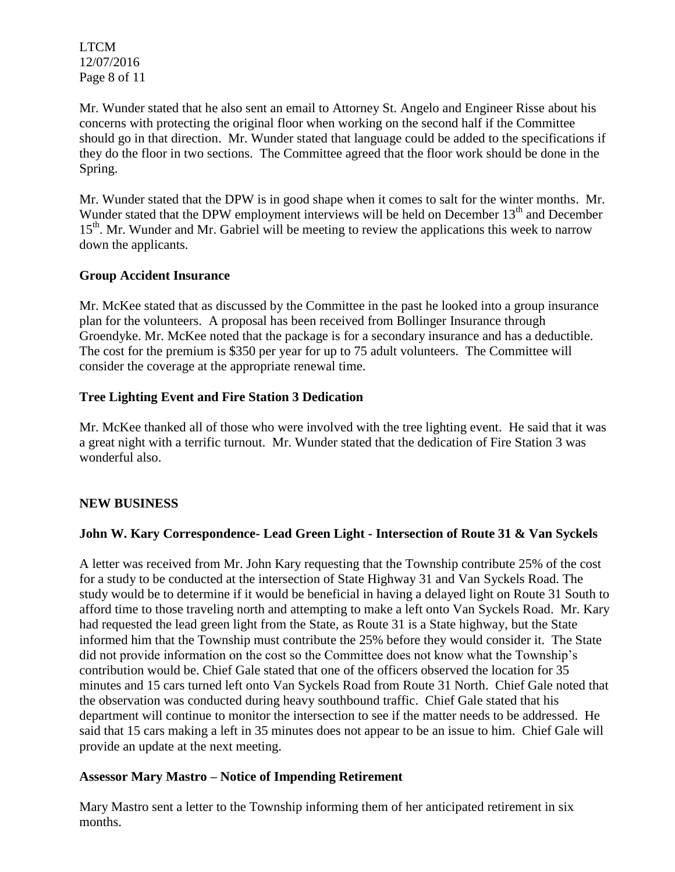LTCM 12/07/2016 Page 8 of 11

Mr. Wunder stated that he also sent an email to Attorney St. Angelo and Engineer Risse about his concerns with protecting the original floor when working on the second half if the Committee should go in that direction. Mr. Wunder stated that language could be added to the specifications if they do the floor in two sections. The Committee agreed that the floor work should be done in the Spring.

Mr. Wunder stated that the DPW is in good shape when it comes to salt for the winter months. Mr. Wunder stated that the DPW employment interviews will be held on December 13<sup>th</sup> and December 15<sup>th</sup>. Mr. Wunder and Mr. Gabriel will be meeting to review the applications this week to narrow down the applicants.

## **Group Accident Insurance**

Mr. McKee stated that as discussed by the Committee in the past he looked into a group insurance plan for the volunteers. A proposal has been received from Bollinger Insurance through Groendyke. Mr. McKee noted that the package is for a secondary insurance and has a deductible. The cost for the premium is \$350 per year for up to 75 adult volunteers. The Committee will consider the coverage at the appropriate renewal time.

## **Tree Lighting Event and Fire Station 3 Dedication**

Mr. McKee thanked all of those who were involved with the tree lighting event. He said that it was a great night with a terrific turnout. Mr. Wunder stated that the dedication of Fire Station 3 was wonderful also.

# **NEW BUSINESS**

# **John W. Kary Correspondence- Lead Green Light - Intersection of Route 31 & Van Syckels**

A letter was received from Mr. John Kary requesting that the Township contribute 25% of the cost for a study to be conducted at the intersection of State Highway 31 and Van Syckels Road. The study would be to determine if it would be beneficial in having a delayed light on Route 31 South to afford time to those traveling north and attempting to make a left onto Van Syckels Road. Mr. Kary had requested the lead green light from the State, as Route 31 is a State highway, but the State informed him that the Township must contribute the 25% before they would consider it. The State did not provide information on the cost so the Committee does not know what the Township's contribution would be. Chief Gale stated that one of the officers observed the location for 35 minutes and 15 cars turned left onto Van Syckels Road from Route 31 North. Chief Gale noted that the observation was conducted during heavy southbound traffic. Chief Gale stated that his department will continue to monitor the intersection to see if the matter needs to be addressed. He said that 15 cars making a left in 35 minutes does not appear to be an issue to him. Chief Gale will provide an update at the next meeting.

#### **Assessor Mary Mastro – Notice of Impending Retirement**

Mary Mastro sent a letter to the Township informing them of her anticipated retirement in six months.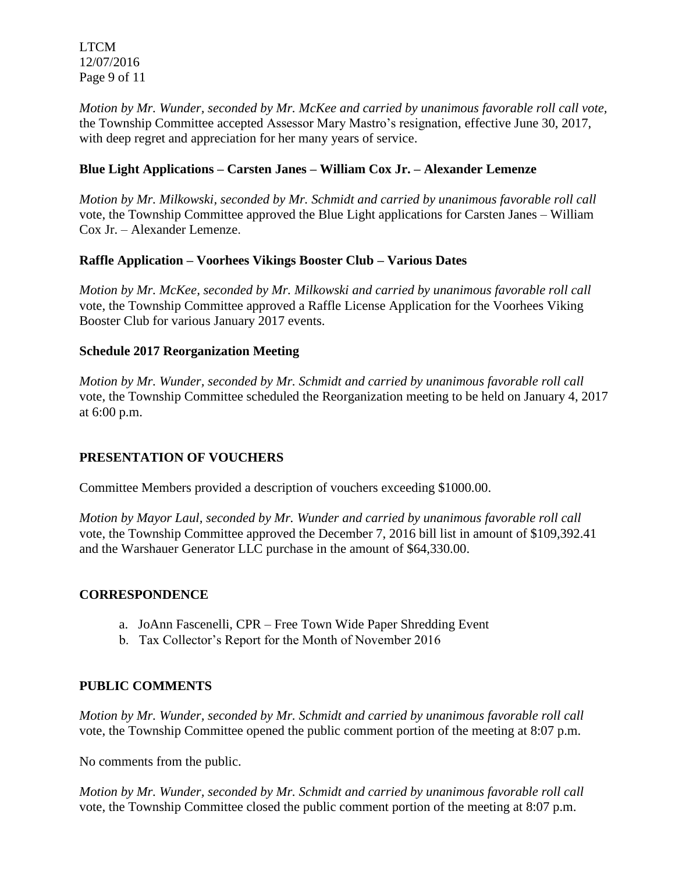LTCM 12/07/2016 Page 9 of 11

*Motion by Mr. Wunder, seconded by Mr. McKee and carried by unanimous favorable roll call vote,* the Township Committee accepted Assessor Mary Mastro's resignation, effective June 30, 2017, with deep regret and appreciation for her many years of service.

# **Blue Light Applications – Carsten Janes – William Cox Jr. – Alexander Lemenze**

*Motion by Mr. Milkowski, seconded by Mr. Schmidt and carried by unanimous favorable roll call*  vote, the Township Committee approved the Blue Light applications for Carsten Janes – William Cox Jr. – Alexander Lemenze.

# **Raffle Application – Voorhees Vikings Booster Club – Various Dates**

*Motion by Mr. McKee, seconded by Mr. Milkowski and carried by unanimous favorable roll call*  vote, the Township Committee approved a Raffle License Application for the Voorhees Viking Booster Club for various January 2017 events.

## **Schedule 2017 Reorganization Meeting**

*Motion by Mr. Wunder, seconded by Mr. Schmidt and carried by unanimous favorable roll call*  vote, the Township Committee scheduled the Reorganization meeting to be held on January 4, 2017 at 6:00 p.m.

# **PRESENTATION OF VOUCHERS**

Committee Members provided a description of vouchers exceeding \$1000.00.

*Motion by Mayor Laul, seconded by Mr. Wunder and carried by unanimous favorable roll call*  vote, the Township Committee approved the December 7, 2016 bill list in amount of \$109,392.41 and the Warshauer Generator LLC purchase in the amount of \$64,330.00.

#### **CORRESPONDENCE**

- a. JoAnn Fascenelli, CPR Free Town Wide Paper Shredding Event
- b. Tax Collector's Report for the Month of November 2016

#### **PUBLIC COMMENTS**

*Motion by Mr. Wunder, seconded by Mr. Schmidt and carried by unanimous favorable roll call*  vote, the Township Committee opened the public comment portion of the meeting at 8:07 p.m.

No comments from the public.

*Motion by Mr. Wunder, seconded by Mr. Schmidt and carried by unanimous favorable roll call* vote, the Township Committee closed the public comment portion of the meeting at 8:07 p.m.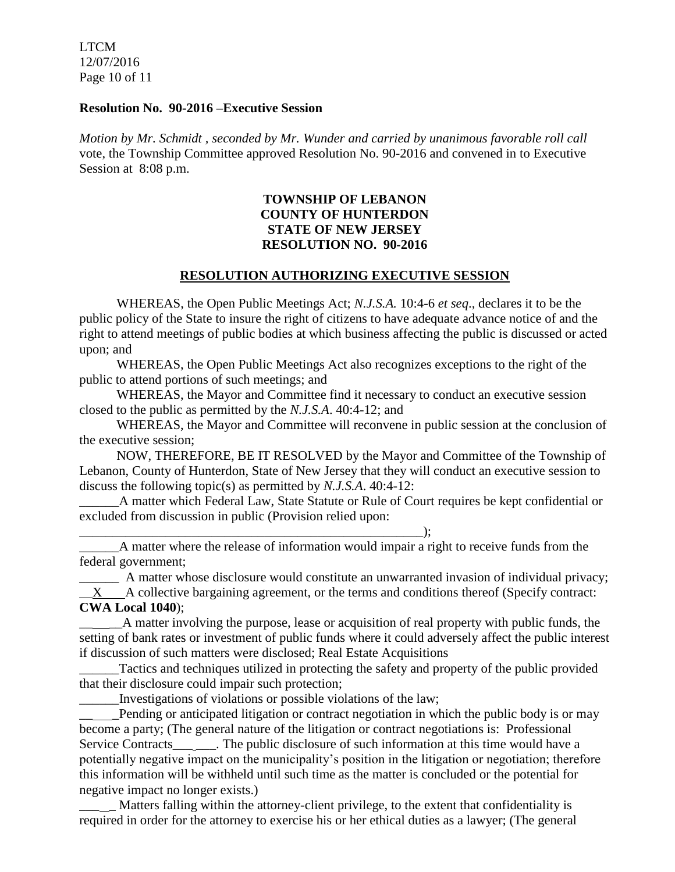LTCM 12/07/2016 Page 10 of 11

#### **Resolution No. 90-2016 –Executive Session**

*Motion by Mr. Schmidt , seconded by Mr. Wunder and carried by unanimous favorable roll call* vote, the Township Committee approved Resolution No. 90-2016 and convened in to Executive Session at 8:08 p.m.

## **TOWNSHIP OF LEBANON COUNTY OF HUNTERDON STATE OF NEW JERSEY RESOLUTION NO. 90-2016**

#### **RESOLUTION AUTHORIZING EXECUTIVE SESSION**

WHEREAS, the Open Public Meetings Act; *N.J.S.A.* 10:4-6 *et seq*., declares it to be the public policy of the State to insure the right of citizens to have adequate advance notice of and the right to attend meetings of public bodies at which business affecting the public is discussed or acted upon; and

WHEREAS, the Open Public Meetings Act also recognizes exceptions to the right of the public to attend portions of such meetings; and

WHEREAS, the Mayor and Committee find it necessary to conduct an executive session closed to the public as permitted by the *N.J.S.A*. 40:4-12; and

WHEREAS, the Mayor and Committee will reconvene in public session at the conclusion of the executive session;

NOW, THEREFORE, BE IT RESOLVED by the Mayor and Committee of the Township of Lebanon, County of Hunterdon, State of New Jersey that they will conduct an executive session to discuss the following topic(s) as permitted by *N.J.S.A*. 40:4-12:

\_\_\_\_\_\_A matter which Federal Law, State Statute or Rule of Court requires be kept confidential or excluded from discussion in public (Provision relied upon:

\_\_\_\_\_\_\_\_\_\_\_\_\_\_\_\_\_\_\_\_\_\_\_\_\_\_\_\_\_\_\_\_\_\_\_\_\_\_\_\_\_\_\_\_\_\_\_\_\_\_\_\_);

A matter where the release of information would impair a right to receive funds from the federal government;

A matter whose disclosure would constitute an unwarranted invasion of individual privacy;  $\mathbf{X}$  A collective bargaining agreement, or the terms and conditions thereof (Specify contract: **CWA Local 1040**);

 $\Box$  A matter involving the purpose, lease or acquisition of real property with public funds, the setting of bank rates or investment of public funds where it could adversely affect the public interest if discussion of such matters were disclosed; Real Estate Acquisitions

Tactics and techniques utilized in protecting the safety and property of the public provided that their disclosure could impair such protection;

\_\_\_\_\_\_Investigations of violations or possible violations of the law;

Pending or anticipated litigation or contract negotiation in which the public body is or may become a party; (The general nature of the litigation or contract negotiations is: Professional Service Contracts\_\_\_ \_\_\_. The public disclosure of such information at this time would have a potentially negative impact on the municipality's position in the litigation or negotiation; therefore this information will be withheld until such time as the matter is concluded or the potential for negative impact no longer exists.)

Matters falling within the attorney-client privilege, to the extent that confidentiality is required in order for the attorney to exercise his or her ethical duties as a lawyer; (The general